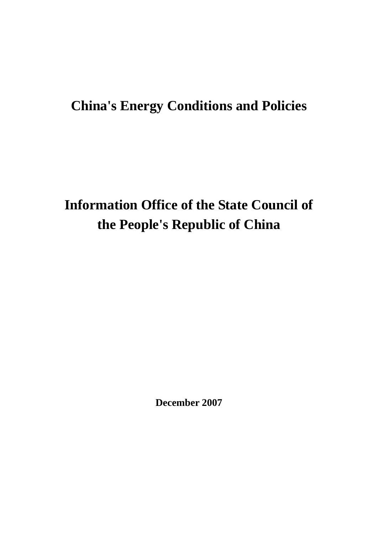## **China's Energy Conditions and Policies**

# **Information Office of the State Council of the People's Republic of China**

**December 2007**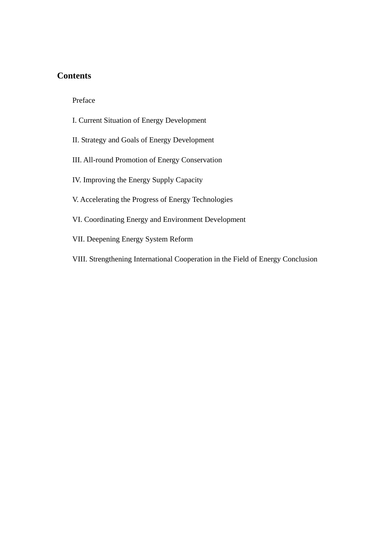### **Contents**

Preface

- I. Current Situation of Energy Development
- II. Strategy and Goals of Energy Development
- III. All-round Promotion of Energy Conservation
- IV. Improving the Energy Supply Capacity
- V. Accelerating the Progress of Energy Technologies
- VI. Coordinating Energy and Environment Development
- VII. Deepening Energy System Reform
- VIII. Strengthening International Cooperation in the Field of Energy Conclusion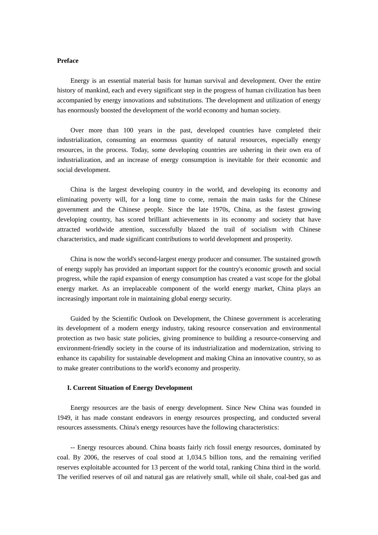#### **Preface**

 Energy is an essential material basis for human survival and development. Over the entire history of mankind, each and every significant step in the progress of human civilization has been accompanied by energy innovations and substitutions. The development and utilization of energy has enormously boosted the development of the world economy and human society.

 Over more than 100 years in the past, developed countries have completed their industrialization, consuming an enormous quantity of natural resources, especially energy resources, in the process. Today, some developing countries are ushering in their own era of industrialization, and an increase of energy consumption is inevitable for their economic and social development.

 China is the largest developing country in the world, and developing its economy and eliminating poverty will, for a long time to come, remain the main tasks for the Chinese government and the Chinese people. Since the late 1970s, China, as the fastest growing developing country, has scored brilliant achievements in its economy and society that have attracted worldwide attention, successfully blazed the trail of socialism with Chinese characteristics, and made significant contributions to world development and prosperity.

 China is now the world's second-largest energy producer and consumer. The sustained growth of energy supply has provided an important support for the country's economic growth and social progress, while the rapid expansion of energy consumption has created a vast scope for the global energy market. As an irreplaceable component of the world energy market, China plays an increasingly important role in maintaining global energy security.

 Guided by the Scientific Outlook on Development, the Chinese government is accelerating its development of a modern energy industry, taking resource conservation and environmental protection as two basic state policies, giving prominence to building a resource-conserving and environment-friendly society in the course of its industrialization and modernization, striving to enhance its capability for sustainable development and making China an innovative country, so as to make greater contributions to the world's economy and prosperity.

#### **I. Current Situation of Energy Development**

 Energy resources are the basis of energy development. Since New China was founded in 1949, it has made constant endeavors in energy resources prospecting, and conducted several resources assessments. China's energy resources have the following characteristics:

 -- Energy resources abound. China boasts fairly rich fossil energy resources, dominated by coal. By 2006, the reserves of coal stood at 1,034.5 billion tons, and the remaining verified reserves exploitable accounted for 13 percent of the world total, ranking China third in the world. The verified reserves of oil and natural gas are relatively small, while oil shale, coal-bed gas and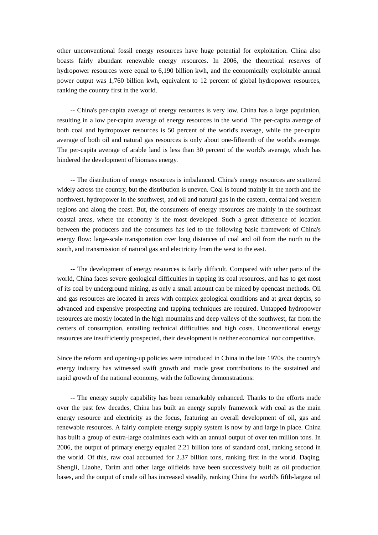other unconventional fossil energy resources have huge potential for exploitation. China also boasts fairly abundant renewable energy resources. In 2006, the theoretical reserves of hydropower resources were equal to 6,190 billion kwh, and the economically exploitable annual power output was 1,760 billion kwh, equivalent to 12 percent of global hydropower resources, ranking the country first in the world.

 -- China's per-capita average of energy resources is very low. China has a large population, resulting in a low per-capita average of energy resources in the world. The per-capita average of both coal and hydropower resources is 50 percent of the world's average, while the per-capita average of both oil and natural gas resources is only about one-fifteenth of the world's average. The per-capita average of arable land is less than 30 percent of the world's average, which has hindered the development of biomass energy.

 -- The distribution of energy resources is imbalanced. China's energy resources are scattered widely across the country, but the distribution is uneven. Coal is found mainly in the north and the northwest, hydropower in the southwest, and oil and natural gas in the eastern, central and western regions and along the coast. But, the consumers of energy resources are mainly in the southeast coastal areas, where the economy is the most developed. Such a great difference of location between the producers and the consumers has led to the following basic framework of China's energy flow: large-scale transportation over long distances of coal and oil from the north to the south, and transmission of natural gas and electricity from the west to the east.

 -- The development of energy resources is fairly difficult. Compared with other parts of the world, China faces severe geological difficulties in tapping its coal resources, and has to get most of its coal by underground mining, as only a small amount can be mined by opencast methods. Oil and gas resources are located in areas with complex geological conditions and at great depths, so advanced and expensive prospecting and tapping techniques are required. Untapped hydropower resources are mostly located in the high mountains and deep valleys of the southwest, far from the centers of consumption, entailing technical difficulties and high costs. Unconventional energy resources are insufficiently prospected, their development is neither economical nor competitive.

Since the reform and opening-up policies were introduced in China in the late 1970s, the country's energy industry has witnessed swift growth and made great contributions to the sustained and rapid growth of the national economy, with the following demonstrations:

 -- The energy supply capability has been remarkably enhanced. Thanks to the efforts made over the past few decades, China has built an energy supply framework with coal as the main energy resource and electricity as the focus, featuring an overall development of oil, gas and renewable resources. A fairly complete energy supply system is now by and large in place. China has built a group of extra-large coalmines each with an annual output of over ten million tons. In 2006, the output of primary energy equaled 2.21 billion tons of standard coal, ranking second in the world. Of this, raw coal accounted for 2.37 billion tons, ranking first in the world. Daqing, Shengli, Liaohe, Tarim and other large oilfields have been successively built as oil production bases, and the output of crude oil has increased steadily, ranking China the world's fifth-largest oil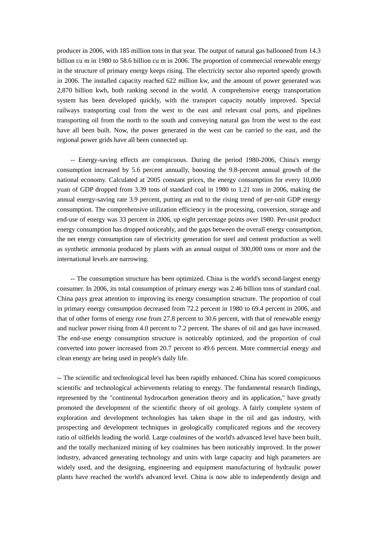producer in 2006, with 185 million tons in that year. The output of natural gas ballooned from 14.3 billion cu m in 1980 to 58.6 billion cu m in 2006. The proportion of commercial renewable energy in the structure of primary energy keeps rising. The electricity sector also reported speedy growth in 2006. The installed capacity reached 622 million kw, and the amount of power generated was 2,870 billion kwh, both ranking second in the world. A comprehensive energy transportation system has been developed quickly, with the transport capacity notably improved. Special railways transporting coal from the west to the east and relevant coal ports, and pipelines transporting oil from the north to the south and conveying natural gas from the west to the east have all been built. Now, the power generated in the west can be carried to the east, and the regional power grids have all been connected up.

 -- Energy-saving effects are conspicuous. During the period 1980-2006, China's energy consumption increased by 5.6 percent annually, boosting the 9.8-percent annual growth of the national economy. Calculated at 2005 constant prices, the energy consumption for every 10,000 yuan of GDP dropped from 3.39 tons of standard coal in 1980 to 1.21 tons in 2006, making the annual energy-saving rate 3.9 percent, putting an end to the rising trend of per-unit GDP energy consumption. The comprehensive utilization efficiency in the processing, conversion, storage and end-use of energy was 33 percent in 2006, up eight percentage points over 1980. Per-unit product energy consumption has dropped noticeably, and the gaps between the overall energy consumption, the net energy consumption rate of electricity generation for steel and cement production as well as synthetic ammonia produced by plants with an annual output of 300,000 tons or more and the international levels are narrowing.

 -- The consumption structure has been optimized. China is the world's second-largest energy consumer. In 2006, its total consumption of primary energy was 2.46 billion tons of standard coal. China pays great attention to improving its energy consumption structure. The proportion of coal in primary energy consumption decreased from 72.2 percent in 1980 to 69.4 percent in 2006, and that of other forms of energy rose from 27.8 percent to 30.6 percent, with that of renewable energy and nuclear power rising from 4.0 percent to 7.2 percent. The shares of oil and gas have increased. The end-use energy consumption structure is noticeably optimized, and the proportion of coal converted into power increased from 20.7 percent to 49.6 percent. More commercial energy and clean energy are being used in people's daily life.

-- The scientific and technological level has been rapidly enhanced. China has scored conspicuous scientific and technological achievements relating to energy. The fundamental research findings, represented by the "continental hydrocarbon generation theory and its application," have greatly promoted the development of the scientific theory of oil geology. A fairly complete system of exploration and development technologies has taken shape in the oil and gas industry, with prospecting and development techniques in geologically complicated regions and the recovery ratio of oilfields leading the world. Large coalmines of the world's advanced level have been built, and the totally mechanized mining of key coalmines has been noticeably improved. In the power industry, advanced generating technology and units with large capacity and high parameters are widely used, and the designing, engineering and equipment manufacturing of hydraulic power plants have reached the world's advanced level. China is now able to independently design and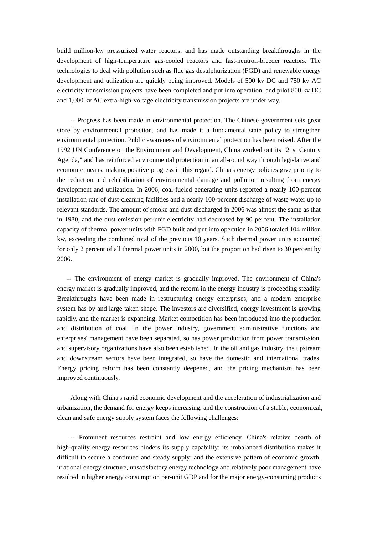build million-kw pressurized water reactors, and has made outstanding breakthroughs in the development of high-temperature gas-cooled reactors and fast-neutron-breeder reactors. The technologies to deal with pollution such as flue gas desulphurization (FGD) and renewable energy development and utilization are quickly being improved. Models of 500 kv DC and 750 kv AC electricity transmission projects have been completed and put into operation, and pilot 800 kv DC and 1,000 kv AC extra-high-voltage electricity transmission projects are under way.

 -- Progress has been made in environmental protection. The Chinese government sets great store by environmental protection, and has made it a fundamental state policy to strengthen environmental protection. Public awareness of environmental protection has been raised. After the 1992 UN Conference on the Environment and Development, China worked out its "21st Century Agenda," and has reinforced environmental protection in an all-round way through legislative and economic means, making positive progress in this regard. China's energy policies give priority to the reduction and rehabilitation of environmental damage and pollution resulting from energy development and utilization. In 2006, coal-fueled generating units reported a nearly 100-percent installation rate of dust-cleaning facilities and a nearly 100-percent discharge of waste water up to relevant standards. The amount of smoke and dust discharged in 2006 was almost the same as that in 1980, and the dust emission per-unit electricity had decreased by 90 percent. The installation capacity of thermal power units with FGD built and put into operation in 2006 totaled 104 million kw, exceeding the combined total of the previous 10 years. Such thermal power units accounted for only 2 percent of all thermal power units in 2000, but the proportion had risen to 30 percent by 2006.

-- The environment of energy market is gradually improved. The environment of China's energy market is gradually improved, and the reform in the energy industry is proceeding steadily. Breakthroughs have been made in restructuring energy enterprises, and a modern enterprise system has by and large taken shape. The investors are diversified, energy investment is growing rapidly, and the market is expanding. Market competition has been introduced into the production and distribution of coal. In the power industry, government administrative functions and enterprises' management have been separated, so has power production from power transmission, and supervisory organizations have also been established. In the oil and gas industry, the upstream and downstream sectors have been integrated, so have the domestic and international trades. Energy pricing reform has been constantly deepened, and the pricing mechanism has been improved continuously.

 Along with China's rapid economic development and the acceleration of industrialization and urbanization, the demand for energy keeps increasing, and the construction of a stable, economical, clean and safe energy supply system faces the following challenges:

 -- Prominent resources restraint and low energy efficiency. China's relative dearth of high-quality energy resources hinders its supply capability; its imbalanced distribution makes it difficult to secure a continued and steady supply; and the extensive pattern of economic growth, irrational energy structure, unsatisfactory energy technology and relatively poor management have resulted in higher energy consumption per-unit GDP and for the major energy-consuming products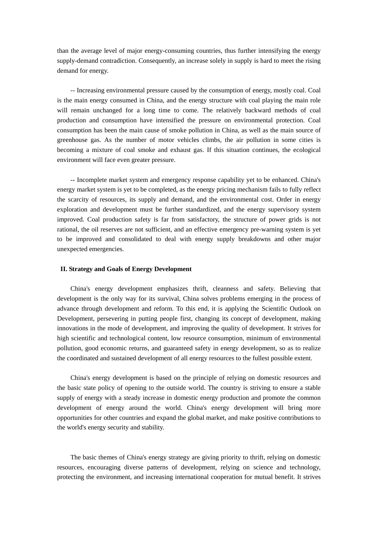than the average level of major energy-consuming countries, thus further intensifying the energy supply-demand contradiction. Consequently, an increase solely in supply is hard to meet the rising demand for energy.

 -- Increasing environmental pressure caused by the consumption of energy, mostly coal. Coal is the main energy consumed in China, and the energy structure with coal playing the main role will remain unchanged for a long time to come. The relatively backward methods of coal production and consumption have intensified the pressure on environmental protection. Coal consumption has been the main cause of smoke pollution in China, as well as the main source of greenhouse gas. As the number of motor vehicles climbs, the air pollution in some cities is becoming a mixture of coal smoke and exhaust gas. If this situation continues, the ecological environment will face even greater pressure.

 -- Incomplete market system and emergency response capability yet to be enhanced. China's energy market system is yet to be completed, as the energy pricing mechanism fails to fully reflect the scarcity of resources, its supply and demand, and the environmental cost. Order in energy exploration and development must be further standardized, and the energy supervisory system improved. Coal production safety is far from satisfactory, the structure of power grids is not rational, the oil reserves are not sufficient, and an effective emergency pre-warning system is yet to be improved and consolidated to deal with energy supply breakdowns and other major unexpected emergencies.

#### **II. Strategy and Goals of Energy Development**

 China's energy development emphasizes thrift, cleanness and safety. Believing that development is the only way for its survival, China solves problems emerging in the process of advance through development and reform. To this end, it is applying the Scientific Outlook on Development, persevering in putting people first, changing its concept of development, making innovations in the mode of development, and improving the quality of development. It strives for high scientific and technological content, low resource consumption, minimum of environmental pollution, good economic returns, and guaranteed safety in energy development, so as to realize the coordinated and sustained development of all energy resources to the fullest possible extent.

 China's energy development is based on the principle of relying on domestic resources and the basic state policy of opening to the outside world. The country is striving to ensure a stable supply of energy with a steady increase in domestic energy production and promote the common development of energy around the world. China's energy development will bring more opportunities for other countries and expand the global market, and make positive contributions to the world's energy security and stability.

 The basic themes of China's energy strategy are giving priority to thrift, relying on domestic resources, encouraging diverse patterns of development, relying on science and technology, protecting the environment, and increasing international cooperation for mutual benefit. It strives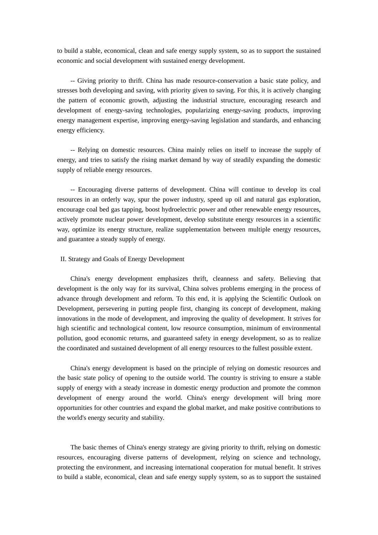to build a stable, economical, clean and safe energy supply system, so as to support the sustained economic and social development with sustained energy development.

 -- Giving priority to thrift. China has made resource-conservation a basic state policy, and stresses both developing and saving, with priority given to saving. For this, it is actively changing the pattern of economic growth, adjusting the industrial structure, encouraging research and development of energy-saving technologies, popularizing energy-saving products, improving energy management expertise, improving energy-saving legislation and standards, and enhancing energy efficiency.

 -- Relying on domestic resources. China mainly relies on itself to increase the supply of energy, and tries to satisfy the rising market demand by way of steadily expanding the domestic supply of reliable energy resources.

 -- Encouraging diverse patterns of development. China will continue to develop its coal resources in an orderly way, spur the power industry, speed up oil and natural gas exploration, encourage coal bed gas tapping, boost hydroelectric power and other renewable energy resources, actively promote nuclear power development, develop substitute energy resources in a scientific way, optimize its energy structure, realize supplementation between multiple energy resources, and guarantee a steady supply of energy.

#### II. Strategy and Goals of Energy Development

 China's energy development emphasizes thrift, cleanness and safety. Believing that development is the only way for its survival, China solves problems emerging in the process of advance through development and reform. To this end, it is applying the Scientific Outlook on Development, persevering in putting people first, changing its concept of development, making innovations in the mode of development, and improving the quality of development. It strives for high scientific and technological content, low resource consumption, minimum of environmental pollution, good economic returns, and guaranteed safety in energy development, so as to realize the coordinated and sustained development of all energy resources to the fullest possible extent.

 China's energy development is based on the principle of relying on domestic resources and the basic state policy of opening to the outside world. The country is striving to ensure a stable supply of energy with a steady increase in domestic energy production and promote the common development of energy around the world. China's energy development will bring more opportunities for other countries and expand the global market, and make positive contributions to the world's energy security and stability.

 The basic themes of China's energy strategy are giving priority to thrift, relying on domestic resources, encouraging diverse patterns of development, relying on science and technology, protecting the environment, and increasing international cooperation for mutual benefit. It strives to build a stable, economical, clean and safe energy supply system, so as to support the sustained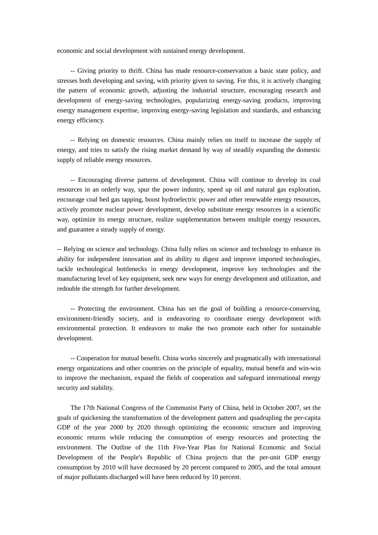economic and social development with sustained energy development.

 -- Giving priority to thrift. China has made resource-conservation a basic state policy, and stresses both developing and saving, with priority given to saving. For this, it is actively changing the pattern of economic growth, adjusting the industrial structure, encouraging research and development of energy-saving technologies, popularizing energy-saving products, improving energy management expertise, improving energy-saving legislation and standards, and enhancing energy efficiency.

 -- Relying on domestic resources. China mainly relies on itself to increase the supply of energy, and tries to satisfy the rising market demand by way of steadily expanding the domestic supply of reliable energy resources.

 -- Encouraging diverse patterns of development. China will continue to develop its coal resources in an orderly way, spur the power industry, speed up oil and natural gas exploration, encourage coal bed gas tapping, boost hydroelectric power and other renewable energy resources, actively promote nuclear power development, develop substitute energy resources in a scientific way, optimize its energy structure, realize supplementation between multiple energy resources, and guarantee a steady supply of energy.

-- Relying on science and technology. China fully relies on science and technology to enhance its ability for independent innovation and its ability to digest and improve imported technologies, tackle technological bottlenecks in energy development, improve key technologies and the manufacturing level of key equipment, seek new ways for energy development and utilization, and redouble the strength for further development.

 -- Protecting the environment. China has set the goal of building a resource-conserving, environment-friendly society, and is endeavoring to coordinate energy development with environmental protection. It endeavors to make the two promote each other for sustainable development.

 -- Cooperation for mutual benefit. China works sincerely and pragmatically with international energy organizations and other countries on the principle of equality, mutual benefit and win-win to improve the mechanism, expand the fields of cooperation and safeguard international energy security and stability.

 The 17th National Congress of the Communist Party of China, held in October 2007, set the goals of quickening the transformation of the development pattern and quadrupling the per-capita GDP of the year 2000 by 2020 through optimizing the economic structure and improving economic returns while reducing the consumption of energy resources and protecting the environment. The Outline of the 11th Five-Year Plan for National Economic and Social Development of the People's Republic of China projects that the per-unit GDP energy consumption by 2010 will have decreased by 20 percent compared to 2005, and the total amount of major pollutants discharged will have been reduced by 10 percent.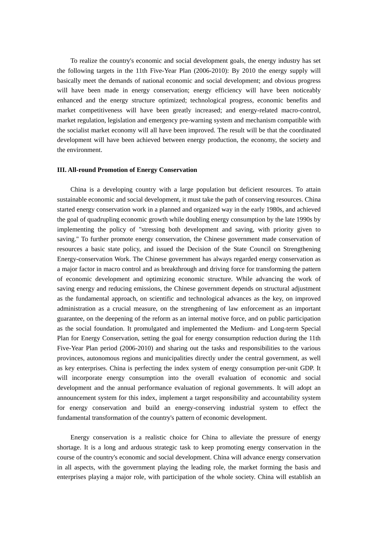To realize the country's economic and social development goals, the energy industry has set the following targets in the 11th Five-Year Plan (2006-2010): By 2010 the energy supply will basically meet the demands of national economic and social development; and obvious progress will have been made in energy conservation; energy efficiency will have been noticeably enhanced and the energy structure optimized; technological progress, economic benefits and market competitiveness will have been greatly increased; and energy-related macro-control, market regulation, legislation and emergency pre-warning system and mechanism compatible with the socialist market economy will all have been improved. The result will be that the coordinated development will have been achieved between energy production, the economy, the society and the environment.

#### **III. All-round Promotion of Energy Conservation**

 China is a developing country with a large population but deficient resources. To attain sustainable economic and social development, it must take the path of conserving resources. China started energy conservation work in a planned and organized way in the early 1980s, and achieved the goal of quadrupling economic growth while doubling energy consumption by the late 1990s by implementing the policy of "stressing both development and saving, with priority given to saving." To further promote energy conservation, the Chinese government made conservation of resources a basic state policy, and issued the Decision of the State Council on Strengthening Energy-conservation Work. The Chinese government has always regarded energy conservation as a major factor in macro control and as breakthrough and driving force for transforming the pattern of economic development and optimizing economic structure. While advancing the work of saving energy and reducing emissions, the Chinese government depends on structural adjustment as the fundamental approach, on scientific and technological advances as the key, on improved administration as a crucial measure, on the strengthening of law enforcement as an important guarantee, on the deepening of the reform as an internal motive force, and on public participation as the social foundation. It promulgated and implemented the Medium- and Long-term Special Plan for Energy Conservation, setting the goal for energy consumption reduction during the 11th Five-Year Plan period (2006-2010) and sharing out the tasks and responsibilities to the various provinces, autonomous regions and municipalities directly under the central government, as well as key enterprises. China is perfecting the index system of energy consumption per-unit GDP. It will incorporate energy consumption into the overall evaluation of economic and social development and the annual performance evaluation of regional governments. It will adopt an announcement system for this index, implement a target responsibility and accountability system for energy conservation and build an energy-conserving industrial system to effect the fundamental transformation of the country's pattern of economic development.

 Energy conservation is a realistic choice for China to alleviate the pressure of energy shortage. It is a long and arduous strategic task to keep promoting energy conservation in the course of the country's economic and social development. China will advance energy conservation in all aspects, with the government playing the leading role, the market forming the basis and enterprises playing a major role, with participation of the whole society. China will establish an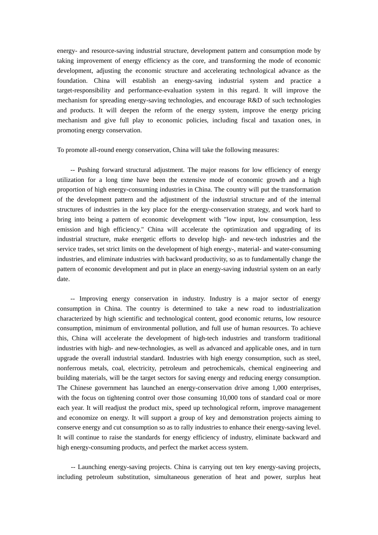energy- and resource-saving industrial structure, development pattern and consumption mode by taking improvement of energy efficiency as the core, and transforming the mode of economic development, adjusting the economic structure and accelerating technological advance as the foundation. China will establish an energy-saving industrial system and practice a target-responsibility and performance-evaluation system in this regard. It will improve the mechanism for spreading energy-saving technologies, and encourage R&D of such technologies and products. It will deepen the reform of the energy system, improve the energy pricing mechanism and give full play to economic policies, including fiscal and taxation ones, in promoting energy conservation.

To promote all-round energy conservation, China will take the following measures:

 -- Pushing forward structural adjustment. The major reasons for low efficiency of energy utilization for a long time have been the extensive mode of economic growth and a high proportion of high energy-consuming industries in China. The country will put the transformation of the development pattern and the adjustment of the industrial structure and of the internal structures of industries in the key place for the energy-conservation strategy, and work hard to bring into being a pattern of economic development with "low input, low consumption, less emission and high efficiency." China will accelerate the optimization and upgrading of its industrial structure, make energetic efforts to develop high- and new-tech industries and the service trades, set strict limits on the development of high energy-, material- and water-consuming industries, and eliminate industries with backward productivity, so as to fundamentally change the pattern of economic development and put in place an energy-saving industrial system on an early date.

 -- Improving energy conservation in industry. Industry is a major sector of energy consumption in China. The country is determined to take a new road to industrialization characterized by high scientific and technological content, good economic returns, low resource consumption, minimum of environmental pollution, and full use of human resources. To achieve this, China will accelerate the development of high-tech industries and transform traditional industries with high- and new-technologies, as well as advanced and applicable ones, and in turn upgrade the overall industrial standard. Industries with high energy consumption, such as steel, nonferrous metals, coal, electricity, petroleum and petrochemicals, chemical engineering and building materials, will be the target sectors for saving energy and reducing energy consumption. The Chinese government has launched an energy-conservation drive among 1,000 enterprises, with the focus on tightening control over those consuming 10,000 tons of standard coal or more each year. It will readjust the product mix, speed up technological reform, improve management and economize on energy. It will support a group of key and demonstration projects aiming to conserve energy and cut consumption so as to rally industries to enhance their energy-saving level. It will continue to raise the standards for energy efficiency of industry, eliminate backward and high energy-consuming products, and perfect the market access system.

-- Launching energy-saving projects. China is carrying out ten key energy-saving projects, including petroleum substitution, simultaneous generation of heat and power, surplus heat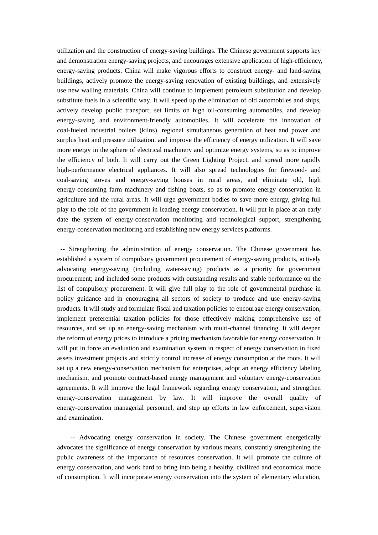utilization and the construction of energy-saving buildings. The Chinese government supports key and demonstration energy-saving projects, and encourages extensive application of high-efficiency, energy-saving products. China will make vigorous efforts to construct energy- and land-saving buildings, actively promote the energy-saving renovation of existing buildings, and extensively use new walling materials. China will continue to implement petroleum substitution and develop substitute fuels in a scientific way. It will speed up the elimination of old automobiles and ships, actively develop public transport; set limits on high oil-consuming automobiles, and develop energy-saving and environment-friendly automobiles. It will accelerate the innovation of coal-fueled industrial boilers (kilns), regional simultaneous generation of heat and power and surplus heat and pressure utilization, and improve the efficiency of energy utilization. It will save more energy in the sphere of electrical machinery and optimize energy systems, so as to improve the efficiency of both. It will carry out the Green Lighting Project, and spread more rapidly high-performance electrical appliances. It will also spread technologies for firewood- and coal-saving stoves and energy-saving houses in rural areas, and eliminate old, high energy-consuming farm machinery and fishing boats, so as to promote energy conservation in agriculture and the rural areas. It will urge government bodies to save more energy, giving full play to the role of the government in leading energy conservation. It will put in place at an early date the system of energy-conservation monitoring and technological support, strengthening energy-conservation monitoring and establishing new energy services platforms.

 -- Strengthening the administration of energy conservation. The Chinese government has established a system of compulsory government procurement of energy-saving products, actively advocating energy-saving (including water-saving) products as a priority for government procurement; and included some products with outstanding results and stable performance on the list of compulsory procurement. It will give full play to the role of governmental purchase in policy guidance and in encouraging all sectors of society to produce and use energy-saving products. It will study and formulate fiscal and taxation policies to encourage energy conservation, implement preferential taxation policies for those effectively making comprehensive use of resources, and set up an energy-saving mechanism with multi-channel financing. It will deepen the reform of energy prices to introduce a pricing mechanism favorable for energy conservation. It will put in force an evaluation and examination system in respect of energy conservation in fixed assets investment projects and strictly control increase of energy consumption at the roots. It will set up a new energy-conservation mechanism for enterprises, adopt an energy efficiency labeling mechanism, and promote contract-based energy management and voluntary energy-conservation agreements. It will improve the legal framework regarding energy conservation, and strengthen energy-conservation management by law. It will improve the overall quality of energy-conservation managerial personnel, and step up efforts in law enforcement, supervision and examination.

 -- Advocating energy conservation in society. The Chinese government energetically advocates the significance of energy conservation by various means, constantly strengthening the public awareness of the importance of resources conservation. It will promote the culture of energy conservation, and work hard to bring into being a healthy, civilized and economical mode of consumption. It will incorporate energy conservation into the system of elementary education,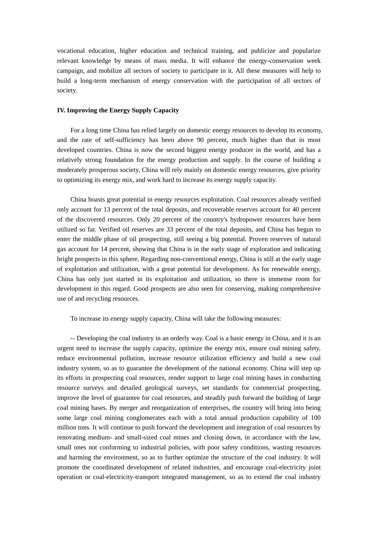vocational education, higher education and technical training, and publicize and popularize relevant knowledge by means of mass media. It will enhance the energy-conservation week campaign, and mobilize all sectors of society to participate in it. All these measures will help to build a long-term mechanism of energy conservation with the participation of all sectors of society.

#### **IV. Improving the Energy Supply Capacity**

 For a long time China has relied largely on domestic energy resources to develop its economy, and the rate of self-sufficiency has been above 90 percent, much higher than that in most developed countries. China is now the second biggest energy producer in the world, and has a relatively strong foundation for the energy production and supply. In the course of building a moderately prosperous society, China will rely mainly on domestic energy resources, give priority to optimizing its energy mix, and work hard to increase its energy supply capacity.

 China boasts great potential in energy resources exploitation. Coal resources already verified only account for 13 percent of the total deposits, and recoverable reserves account for 40 percent of the discovered resources. Only 20 percent of the country's hydropower resources have been utilized so far. Verified oil reserves are 33 percent of the total deposits, and China has begun to enter the middle phase of oil prospecting, still seeing a big potential. Proven reserves of natural gas account for 14 percent, showing that China is in the early stage of exploration and indicating bright prospects in this sphere. Regarding non-conventional energy, China is still at the early stage of exploitation and utilization, with a great potential for development. As for renewable energy, China has only just started in its exploitation and utilization, so there is immense room for development in this regard. Good prospects are also seen for conserving, making comprehensive use of and recycling resources.

To increase its energy supply capacity, China will take the following measures:

 -- Developing the coal industry in an orderly way. Coal is a basic energy in China, and it is an urgent need to increase the supply capacity, optimize the energy mix, ensure coal mining safety, reduce environmental pollution, increase resource utilization efficiency and build a new coal industry system, so as to guarantee the development of the national economy. China will step up its efforts in prospecting coal resources, render support to large coal mining bases in conducting resource surveys and detailed geological surveys, set standards for commercial prospecting, improve the level of guarantee for coal resources, and steadily push forward the building of large coal mining bases. By merger and reorganization of enterprises, the country will bring into being some large coal mining conglomerates each with a total annual production capability of 100 million tons. It will continue to push forward the development and integration of coal resources by renovating medium- and small-sized coal mines and closing down, in accordance with the law, small ones not conforming to industrial policies, with poor safety conditions, wasting resources and harming the environment, so as to further optimize the structure of the coal industry. It will promote the coordinated development of related industries, and encourage coal-electricity joint operation or coal-electricity-transport integrated management, so as to extend the coal industry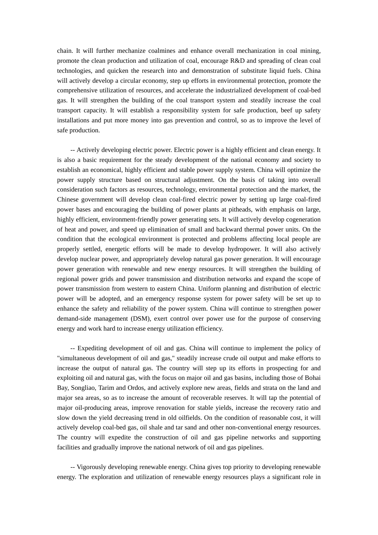chain. It will further mechanize coalmines and enhance overall mechanization in coal mining, promote the clean production and utilization of coal, encourage R&D and spreading of clean coal technologies, and quicken the research into and demonstration of substitute liquid fuels. China will actively develop a circular economy, step up efforts in environmental protection, promote the comprehensive utilization of resources, and accelerate the industrialized development of coal-bed gas. It will strengthen the building of the coal transport system and steadily increase the coal transport capacity. It will establish a responsibility system for safe production, beef up safety installations and put more money into gas prevention and control, so as to improve the level of safe production.

 -- Actively developing electric power. Electric power is a highly efficient and clean energy. It is also a basic requirement for the steady development of the national economy and society to establish an economical, highly efficient and stable power supply system. China will optimize the power supply structure based on structural adjustment. On the basis of taking into overall consideration such factors as resources, technology, environmental protection and the market, the Chinese government will develop clean coal-fired electric power by setting up large coal-fired power bases and encouraging the building of power plants at pitheads, with emphasis on large, highly efficient, environment-friendly power generating sets. It will actively develop cogeneration of heat and power, and speed up elimination of small and backward thermal power units. On the condition that the ecological environment is protected and problems affecting local people are properly settled, energetic efforts will be made to develop hydropower. It will also actively develop nuclear power, and appropriately develop natural gas power generation. It will encourage power generation with renewable and new energy resources. It will strengthen the building of regional power grids and power transmission and distribution networks and expand the scope of power transmission from western to eastern China. Uniform planning and distribution of electric power will be adopted, and an emergency response system for power safety will be set up to enhance the safety and reliability of the power system. China will continue to strengthen power demand-side management (DSM), exert control over power use for the purpose of conserving energy and work hard to increase energy utilization efficiency.

-- Expediting development of oil and gas. China will continue to implement the policy of "simultaneous development of oil and gas," steadily increase crude oil output and make efforts to increase the output of natural gas. The country will step up its efforts in prospecting for and exploiting oil and natural gas, with the focus on major oil and gas basins, including those of Bohai Bay, Songliao, Tarim and Ordos, and actively explore new areas, fields and strata on the land and major sea areas, so as to increase the amount of recoverable reserves. It will tap the potential of major oil-producing areas, improve renovation for stable yields, increase the recovery ratio and slow down the yield decreasing trend in old oilfields. On the condition of reasonable cost, it will actively develop coal-bed gas, oil shale and tar sand and other non-conventional energy resources. The country will expedite the construction of oil and gas pipeline networks and supporting facilities and gradually improve the national network of oil and gas pipelines.

 -- Vigorously developing renewable energy. China gives top priority to developing renewable energy. The exploration and utilization of renewable energy resources plays a significant role in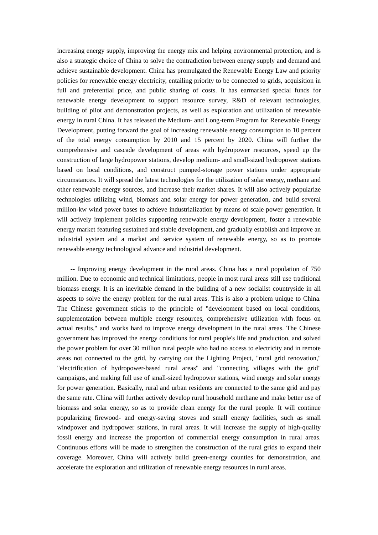increasing energy supply, improving the energy mix and helping environmental protection, and is also a strategic choice of China to solve the contradiction between energy supply and demand and achieve sustainable development. China has promulgated the Renewable Energy Law and priority policies for renewable energy electricity, entailing priority to be connected to grids, acquisition in full and preferential price, and public sharing of costs. It has earmarked special funds for renewable energy development to support resource survey, R&D of relevant technologies, building of pilot and demonstration projects, as well as exploration and utilization of renewable energy in rural China. It has released the Medium- and Long-term Program for Renewable Energy Development, putting forward the goal of increasing renewable energy consumption to 10 percent of the total energy consumption by 2010 and 15 percent by 2020. China will further the comprehensive and cascade development of areas with hydropower resources, speed up the construction of large hydropower stations, develop medium- and small-sized hydropower stations based on local conditions, and construct pumped-storage power stations under appropriate circumstances. It will spread the latest technologies for the utilization of solar energy, methane and other renewable energy sources, and increase their market shares. It will also actively popularize technologies utilizing wind, biomass and solar energy for power generation, and build several million-kw wind power bases to achieve industrialization by means of scale power generation. It will actively implement policies supporting renewable energy development, foster a renewable energy market featuring sustained and stable development, and gradually establish and improve an industrial system and a market and service system of renewable energy, so as to promote renewable energy technological advance and industrial development.

 -- Improving energy development in the rural areas. China has a rural population of 750 million. Due to economic and technical limitations, people in most rural areas still use traditional biomass energy. It is an inevitable demand in the building of a new socialist countryside in all aspects to solve the energy problem for the rural areas. This is also a problem unique to China. The Chinese government sticks to the principle of "development based on local conditions, supplementation between multiple energy resources, comprehensive utilization with focus on actual results," and works hard to improve energy development in the rural areas. The Chinese government has improved the energy conditions for rural people's life and production, and solved the power problem for over 30 million rural people who had no access to electricity and in remote areas not connected to the grid, by carrying out the Lighting Project, "rural grid renovation," "electrification of hydropower-based rural areas" and "connecting villages with the grid" campaigns, and making full use of small-sized hydropower stations, wind energy and solar energy for power generation. Basically, rural and urban residents are connected to the same grid and pay the same rate. China will further actively develop rural household methane and make better use of biomass and solar energy, so as to provide clean energy for the rural people. It will continue popularizing firewood- and energy-saving stoves and small energy facilities, such as small windpower and hydropower stations, in rural areas. It will increase the supply of high-quality fossil energy and increase the proportion of commercial energy consumption in rural areas. Continuous efforts will be made to strengthen the construction of the rural grids to expand their coverage. Moreover, China will actively build green-energy counties for demonstration, and accelerate the exploration and utilization of renewable energy resources in rural areas.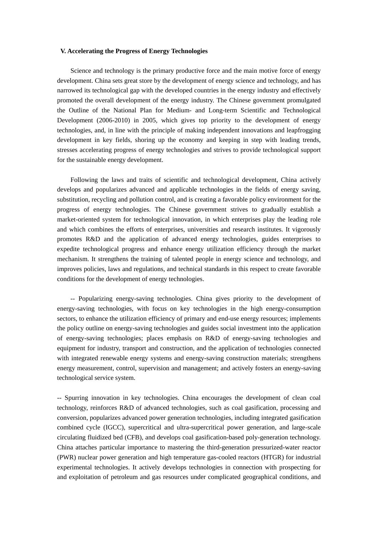#### **V. Accelerating the Progress of Energy Technologies**

 Science and technology is the primary productive force and the main motive force of energy development. China sets great store by the development of energy science and technology, and has narrowed its technological gap with the developed countries in the energy industry and effectively promoted the overall development of the energy industry. The Chinese government promulgated the Outline of the National Plan for Medium- and Long-term Scientific and Technological Development (2006-2010) in 2005, which gives top priority to the development of energy technologies, and, in line with the principle of making independent innovations and leapfrogging development in key fields, shoring up the economy and keeping in step with leading trends, stresses accelerating progress of energy technologies and strives to provide technological support for the sustainable energy development.

 Following the laws and traits of scientific and technological development, China actively develops and popularizes advanced and applicable technologies in the fields of energy saving, substitution, recycling and pollution control, and is creating a favorable policy environment for the progress of energy technologies. The Chinese government strives to gradually establish a market-oriented system for technological innovation, in which enterprises play the leading role and which combines the efforts of enterprises, universities and research institutes. It vigorously promotes R&D and the application of advanced energy technologies, guides enterprises to expedite technological progress and enhance energy utilization efficiency through the market mechanism. It strengthens the training of talented people in energy science and technology, and improves policies, laws and regulations, and technical standards in this respect to create favorable conditions for the development of energy technologies.

 -- Popularizing energy-saving technologies. China gives priority to the development of energy-saving technologies, with focus on key technologies in the high energy-consumption sectors, to enhance the utilization efficiency of primary and end-use energy resources; implements the policy outline on energy-saving technologies and guides social investment into the application of energy-saving technologies; places emphasis on R&D of energy-saving technologies and equipment for industry, transport and construction, and the application of technologies connected with integrated renewable energy systems and energy-saving construction materials; strengthens energy measurement, control, supervision and management; and actively fosters an energy-saving technological service system.

-- Spurring innovation in key technologies. China encourages the development of clean coal technology, reinforces R&D of advanced technologies, such as coal gasification, processing and conversion, popularizes advanced power generation technologies, including integrated gasification combined cycle (IGCC), supercritical and ultra-supercritical power generation, and large-scale circulating fluidized bed (CFB), and develops coal gasification-based poly-generation technology. China attaches particular importance to mastering the third-generation pressurized-water reactor (PWR) nuclear power generation and high temperature gas-cooled reactors (HTGR) for industrial experimental technologies. It actively develops technologies in connection with prospecting for and exploitation of petroleum and gas resources under complicated geographical conditions, and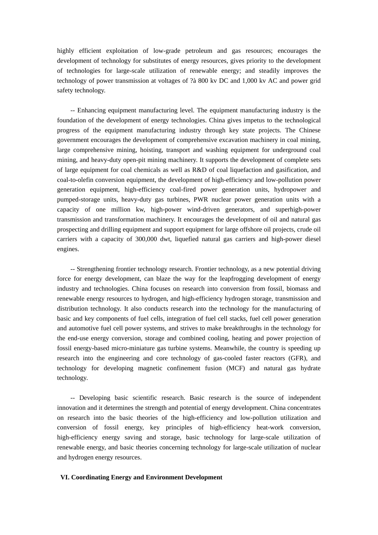highly efficient exploitation of low-grade petroleum and gas resources; encourages the development of technology for substitutes of energy resources, gives priority to the development of technologies for large-scale utilization of renewable energy; and steadily improves the technology of power transmission at voltages of ?à 800 kv DC and 1,000 kv AC and power grid safety technology.

 -- Enhancing equipment manufacturing level. The equipment manufacturing industry is the foundation of the development of energy technologies. China gives impetus to the technological progress of the equipment manufacturing industry through key state projects. The Chinese government encourages the development of comprehensive excavation machinery in coal mining, large comprehensive mining, hoisting, transport and washing equipment for underground coal mining, and heavy-duty open-pit mining machinery. It supports the development of complete sets of large equipment for coal chemicals as well as R&D of coal liquefaction and gasification, and coal-to-olefin conversion equipment, the development of high-efficiency and low-pollution power generation equipment, high-efficiency coal-fired power generation units, hydropower and pumped-storage units, heavy-duty gas turbines, PWR nuclear power generation units with a capacity of one million kw, high-power wind-driven generators, and superhigh-power transmission and transformation machinery. It encourages the development of oil and natural gas prospecting and drilling equipment and support equipment for large offshore oil projects, crude oil carriers with a capacity of 300,000 dwt, liquefied natural gas carriers and high-power diesel engines.

 -- Strengthening frontier technology research. Frontier technology, as a new potential driving force for energy development, can blaze the way for the leapfrogging development of energy industry and technologies. China focuses on research into conversion from fossil, biomass and renewable energy resources to hydrogen, and high-efficiency hydrogen storage, transmission and distribution technology. It also conducts research into the technology for the manufacturing of basic and key components of fuel cells, integration of fuel cell stacks, fuel cell power generation and automotive fuel cell power systems, and strives to make breakthroughs in the technology for the end-use energy conversion, storage and combined cooling, heating and power projection of fossil energy-based micro-miniature gas turbine systems. Meanwhile, the country is speeding up research into the engineering and core technology of gas-cooled faster reactors (GFR), and technology for developing magnetic confinement fusion (MCF) and natural gas hydrate technology.

 -- Developing basic scientific research. Basic research is the source of independent innovation and it determines the strength and potential of energy development. China concentrates on research into the basic theories of the high-efficiency and low-pollution utilization and conversion of fossil energy, key principles of high-efficiency heat-work conversion, high-efficiency energy saving and storage, basic technology for large-scale utilization of renewable energy, and basic theories concerning technology for large-scale utilization of nuclear and hydrogen energy resources.

#### **VI. Coordinating Energy and Environment Development**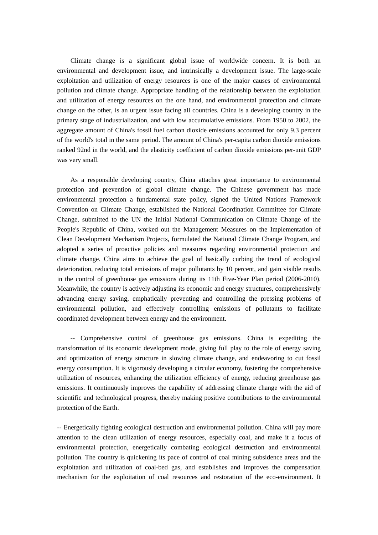Climate change is a significant global issue of worldwide concern. It is both an environmental and development issue, and intrinsically a development issue. The large-scale exploitation and utilization of energy resources is one of the major causes of environmental pollution and climate change. Appropriate handling of the relationship between the exploitation and utilization of energy resources on the one hand, and environmental protection and climate change on the other, is an urgent issue facing all countries. China is a developing country in the primary stage of industrialization, and with low accumulative emissions. From 1950 to 2002, the aggregate amount of China's fossil fuel carbon dioxide emissions accounted for only 9.3 percent of the world's total in the same period. The amount of China's per-capita carbon dioxide emissions ranked 92nd in the world, and the elasticity coefficient of carbon dioxide emissions per-unit GDP was very small.

 As a responsible developing country, China attaches great importance to environmental protection and prevention of global climate change. The Chinese government has made environmental protection a fundamental state policy, signed the United Nations Framework Convention on Climate Change, established the National Coordination Committee for Climate Change, submitted to the UN the Initial National Communication on Climate Change of the People's Republic of China, worked out the Management Measures on the Implementation of Clean Development Mechanism Projects, formulated the National Climate Change Program, and adopted a series of proactive policies and measures regarding environmental protection and climate change. China aims to achieve the goal of basically curbing the trend of ecological deterioration, reducing total emissions of major pollutants by 10 percent, and gain visible results in the control of greenhouse gas emissions during its 11th Five-Year Plan period (2006-2010). Meanwhile, the country is actively adjusting its economic and energy structures, comprehensively advancing energy saving, emphatically preventing and controlling the pressing problems of environmental pollution, and effectively controlling emissions of pollutants to facilitate coordinated development between energy and the environment.

 -- Comprehensive control of greenhouse gas emissions. China is expediting the transformation of its economic development mode, giving full play to the role of energy saving and optimization of energy structure in slowing climate change, and endeavoring to cut fossil energy consumption. It is vigorously developing a circular economy, fostering the comprehensive utilization of resources, enhancing the utilization efficiency of energy, reducing greenhouse gas emissions. It continuously improves the capability of addressing climate change with the aid of scientific and technological progress, thereby making positive contributions to the environmental protection of the Earth.

-- Energetically fighting ecological destruction and environmental pollution. China will pay more attention to the clean utilization of energy resources, especially coal, and make it a focus of environmental protection, energetically combating ecological destruction and environmental pollution. The country is quickening its pace of control of coal mining subsidence areas and the exploitation and utilization of coal-bed gas, and establishes and improves the compensation mechanism for the exploitation of coal resources and restoration of the eco-environment. It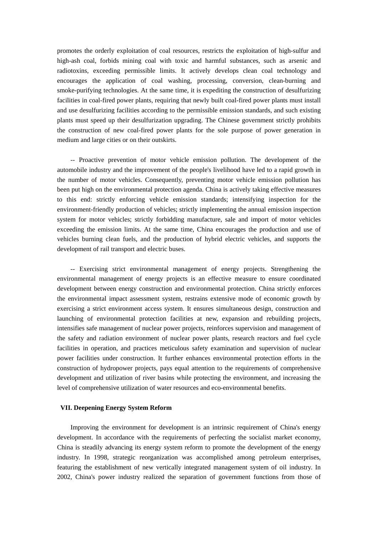promotes the orderly exploitation of coal resources, restricts the exploitation of high-sulfur and high-ash coal, forbids mining coal with toxic and harmful substances, such as arsenic and radiotoxins, exceeding permissible limits. It actively develops clean coal technology and encourages the application of coal washing, processing, conversion, clean-burning and smoke-purifying technologies. At the same time, it is expediting the construction of desulfurizing facilities in coal-fired power plants, requiring that newly built coal-fired power plants must install and use desulfurizing facilities according to the permissible emission standards, and such existing plants must speed up their desulfurization upgrading. The Chinese government strictly prohibits the construction of new coal-fired power plants for the sole purpose of power generation in medium and large cities or on their outskirts.

 -- Proactive prevention of motor vehicle emission pollution. The development of the automobile industry and the improvement of the people's livelihood have led to a rapid growth in the number of motor vehicles. Consequently, preventing motor vehicle emission pollution has been put high on the environmental protection agenda. China is actively taking effective measures to this end: strictly enforcing vehicle emission standards; intensifying inspection for the environment-friendly production of vehicles; strictly implementing the annual emission inspection system for motor vehicles; strictly forbidding manufacture, sale and import of motor vehicles exceeding the emission limits. At the same time, China encourages the production and use of vehicles burning clean fuels, and the production of hybrid electric vehicles, and supports the development of rail transport and electric buses.

 -- Exercising strict environmental management of energy projects. Strengthening the environmental management of energy projects is an effective measure to ensure coordinated development between energy construction and environmental protection. China strictly enforces the environmental impact assessment system, restrains extensive mode of economic growth by exercising a strict environment access system. It ensures simultaneous design, construction and launching of environmental protection facilities at new, expansion and rebuilding projects, intensifies safe management of nuclear power projects, reinforces supervision and management of the safety and radiation environment of nuclear power plants, research reactors and fuel cycle facilities in operation, and practices meticulous safety examination and supervision of nuclear power facilities under construction. It further enhances environmental protection efforts in the construction of hydropower projects, pays equal attention to the requirements of comprehensive development and utilization of river basins while protecting the environment, and increasing the level of comprehensive utilization of water resources and eco-environmental benefits.

#### **VII. Deepening Energy System Reform**

 Improving the environment for development is an intrinsic requirement of China's energy development. In accordance with the requirements of perfecting the socialist market economy, China is steadily advancing its energy system reform to promote the development of the energy industry. In 1998, strategic reorganization was accomplished among petroleum enterprises, featuring the establishment of new vertically integrated management system of oil industry. In 2002, China's power industry realized the separation of government functions from those of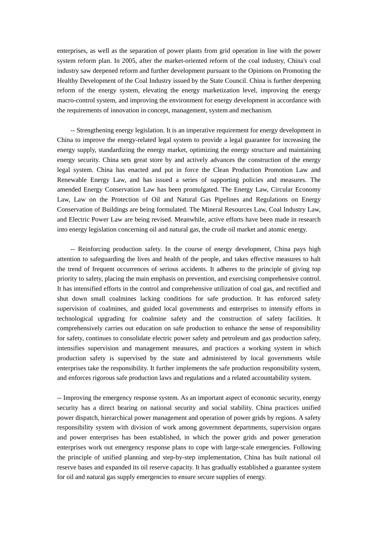enterprises, as well as the separation of power plants from grid operation in line with the power system reform plan. In 2005, after the market-oriented reform of the coal industry, China's coal industry saw deepened reform and further development pursuant to the Opinions on Promoting the Healthy Development of the Coal Industry issued by the State Council. China is further deepening reform of the energy system, elevating the energy marketization level, improving the energy macro-control system, and improving the environment for energy development in accordance with the requirements of innovation in concept, management, system and mechanism.

 -- Strengthening energy legislation. It is an imperative requirement for energy development in China to improve the energy-related legal system to provide a legal guarantee for increasing the energy supply, standardizing the energy market, optimizing the energy structure and maintaining energy security. China sets great store by and actively advances the construction of the energy legal system. China has enacted and put in force the Clean Production Promotion Law and Renewable Energy Law, and has issued a series of supporting policies and measures. The amended Energy Conservation Law has been promulgated. The Energy Law, Circular Economy Law, Law on the Protection of Oil and Natural Gas Pipelines and Regulations on Energy Conservation of Buildings are being formulated. The Mineral Resources Law, Coal Industry Law, and Electric Power Law are being revised. Meanwhile, active efforts have been made in research into energy legislation concerning oil and natural gas, the crude oil market and atomic energy.

 -- Reinforcing production safety. In the course of energy development, China pays high attention to safeguarding the lives and health of the people, and takes effective measures to halt the trend of frequent occurrences of serious accidents. It adheres to the principle of giving top priority to safety, placing the main emphasis on prevention, and exercising comprehensive control. It has intensified efforts in the control and comprehensive utilization of coal gas, and rectified and shut down small coalmines lacking conditions for safe production. It has enforced safety supervision of coalmines, and guided local governments and enterprises to intensify efforts in technological upgrading for coalmine safety and the construction of safety facilities. It comprehensively carries out education on safe production to enhance the sense of responsibility for safety, continues to consolidate electric power safety and petroleum and gas production safety, intensifies supervision and management measures, and practices a working system in which production safety is supervised by the state and administered by local governments while enterprises take the responsibility. It further implements the safe production responsibility system, and enforces rigorous safe production laws and regulations and a related accountability system.

-- Improving the emergency response system. As an important aspect of economic security, energy security has a direct bearing on national security and social stability. China practices unified power dispatch, hierarchical power management and operation of power grids by regions. A safety responsibility system with division of work among government departments, supervision organs and power enterprises has been established, in which the power grids and power generation enterprises work out emergency response plans to cope with large-scale emergencies. Following the principle of unified planning and step-by-step implementation, China has built national oil reserve bases and expanded its oil reserve capacity. It has gradually established a guarantee system for oil and natural gas supply emergencies to ensure secure supplies of energy.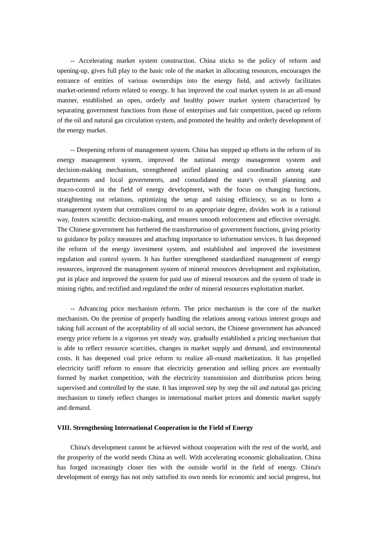-- Accelerating market system construction. China sticks to the policy of reform and opening-up, gives full play to the basic role of the market in allocating resources, encourages the entrance of entities of various ownerships into the energy field, and actively facilitates market-oriented reform related to energy. It has improved the coal market system in an all-round manner, established an open, orderly and healthy power market system characterized by separating government functions from those of enterprises and fair competition, paced up reform of the oil and natural gas circulation system, and promoted the healthy and orderly development of the energy market.

 -- Deepening reform of management system. China has stepped up efforts in the reform of its energy management system, improved the national energy management system and decision-making mechanism, strengthened unified planning and coordination among state departments and local governments, and consolidated the state's overall planning and macro-control in the field of energy development, with the focus on changing functions, straightening out relations, optimizing the setup and raising efficiency, so as to form a management system that centralizes control to an appropriate degree, divides work in a rational way, fosters scientific decision-making, and ensures smooth enforcement and effective oversight. The Chinese government has furthered the transformation of government functions, giving priority to guidance by policy measures and attaching importance to information services. It has deepened the reform of the energy investment system, and established and improved the investment regulation and control system. It has further strengthened standardized management of energy resources, improved the management system of mineral resources development and exploitation, put in place and improved the system for paid use of mineral resources and the system of trade in mining rights, and rectified and regulated the order of mineral resources exploitation market.

 -- Advancing price mechanism reform. The price mechanism is the core of the market mechanism. On the premise of properly handling the relations among various interest groups and taking full account of the acceptability of all social sectors, the Chinese government has advanced energy price reform in a vigorous yet steady way, gradually established a pricing mechanism that is able to reflect resource scarcities, changes in market supply and demand, and environmental costs. It has deepened coal price reform to realize all-round marketization. It has propelled electricity tariff reform to ensure that electricity generation and selling prices are eventually formed by market competition, with the electricity transmission and distribution prices being supervised and controlled by the state. It has improved step by step the oil and natural gas pricing mechanism to timely reflect changes in international market prices and domestic market supply and demand.

#### **VIII. Strengthening International Cooperation in the Field of Energy**

 China's development cannot be achieved without cooperation with the rest of the world, and the prosperity of the world needs China as well. With accelerating economic globalization, China has forged increasingly closer ties with the outside world in the field of energy. China's development of energy has not only satisfied its own needs for economic and social progress, but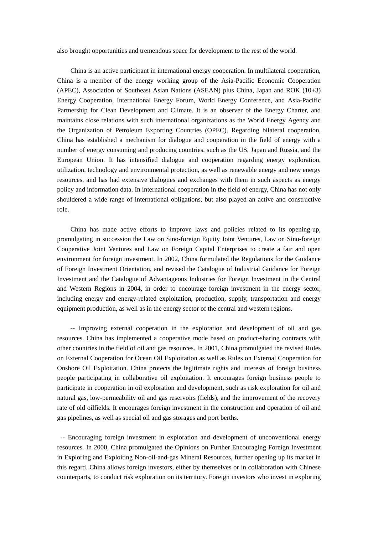also brought opportunities and tremendous space for development to the rest of the world.

 China is an active participant in international energy cooperation. In multilateral cooperation, China is a member of the energy working group of the Asia-Pacific Economic Cooperation (APEC), Association of Southeast Asian Nations (ASEAN) plus China, Japan and ROK (10+3) Energy Cooperation, International Energy Forum, World Energy Conference, and Asia-Pacific Partnership for Clean Development and Climate. It is an observer of the Energy Charter, and maintains close relations with such international organizations as the World Energy Agency and the Organization of Petroleum Exporting Countries (OPEC). Regarding bilateral cooperation, China has established a mechanism for dialogue and cooperation in the field of energy with a number of energy consuming and producing countries, such as the US, Japan and Russia, and the European Union. It has intensified dialogue and cooperation regarding energy exploration, utilization, technology and environmental protection, as well as renewable energy and new energy resources, and has had extensive dialogues and exchanges with them in such aspects as energy policy and information data. In international cooperation in the field of energy, China has not only shouldered a wide range of international obligations, but also played an active and constructive role.

 China has made active efforts to improve laws and policies related to its opening-up, promulgating in succession the Law on Sino-foreign Equity Joint Ventures, Law on Sino-foreign Cooperative Joint Ventures and Law on Foreign Capital Enterprises to create a fair and open environment for foreign investment. In 2002, China formulated the Regulations for the Guidance of Foreign Investment Orientation, and revised the Catalogue of Industrial Guidance for Foreign Investment and the Catalogue of Advantageous Industries for Foreign Investment in the Central and Western Regions in 2004, in order to encourage foreign investment in the energy sector, including energy and energy-related exploitation, production, supply, transportation and energy equipment production, as well as in the energy sector of the central and western regions.

 -- Improving external cooperation in the exploration and development of oil and gas resources. China has implemented a cooperative mode based on product-sharing contracts with other countries in the field of oil and gas resources. In 2001, China promulgated the revised Rules on External Cooperation for Ocean Oil Exploitation as well as Rules on External Cooperation for Onshore Oil Exploitation. China protects the legitimate rights and interests of foreign business people participating in collaborative oil exploitation. It encourages foreign business people to participate in cooperation in oil exploration and development, such as risk exploration for oil and natural gas, low-permeability oil and gas reservoirs (fields), and the improvement of the recovery rate of old oilfields. It encourages foreign investment in the construction and operation of oil and gas pipelines, as well as special oil and gas storages and port berths.

 -- Encouraging foreign investment in exploration and development of unconventional energy resources. In 2000, China promulgated the Opinions on Further Encouraging Foreign Investment in Exploring and Exploiting Non-oil-and-gas Mineral Resources, further opening up its market in this regard. China allows foreign investors, either by themselves or in collaboration with Chinese counterparts, to conduct risk exploration on its territory. Foreign investors who invest in exploring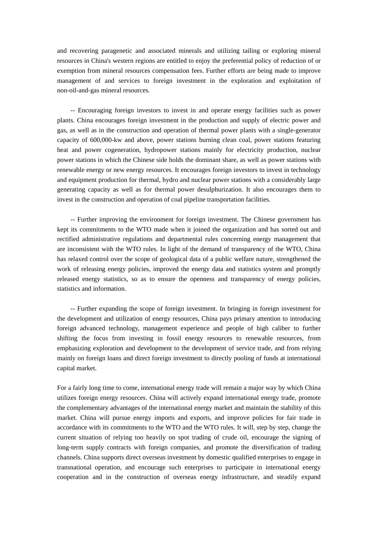and recovering paragenetic and associated minerals and utilizing tailing or exploring mineral resources in China's western regions are entitled to enjoy the preferential policy of reduction of or exemption from mineral resources compensation fees. Further efforts are being made to improve management of and services to foreign investment in the exploration and exploitation of non-oil-and-gas mineral resources.

 -- Encouraging foreign investors to invest in and operate energy facilities such as power plants. China encourages foreign investment in the production and supply of electric power and gas, as well as in the construction and operation of thermal power plants with a single-generator capacity of 600,000-kw and above, power stations burning clean coal, power stations featuring heat and power cogeneration, hydropower stations mainly for electricity production, nuclear power stations in which the Chinese side holds the dominant share, as well as power stations with renewable energy or new energy resources. It encourages foreign investors to invest in technology and equipment production for thermal, hydro and nuclear power stations with a considerably large generating capacity as well as for thermal power desulphurization. It also encourages them to invest in the construction and operation of coal pipeline transportation facilities.

 -- Further improving the environment for foreign investment. The Chinese government has kept its commitments to the WTO made when it joined the organization and has sorted out and rectified administrative regulations and departmental rules concerning energy management that are inconsistent with the WTO rules. In light of the demand of transparency of the WTO, China has relaxed control over the scope of geological data of a public welfare nature, strengthened the work of releasing energy policies, improved the energy data and statistics system and promptly released energy statistics, so as to ensure the openness and transparency of energy policies, statistics and information.

 -- Further expanding the scope of foreign investment. In bringing in foreign investment for the development and utilization of energy resources, China pays primary attention to introducing foreign advanced technology, management experience and people of high caliber to further shifting the focus from investing in fossil energy resources to renewable resources, from emphasizing exploration and development to the development of service trade, and from relying mainly on foreign loans and direct foreign investment to directly pooling of funds at international capital market.

For a fairly long time to come, international energy trade will remain a major way by which China utilizes foreign energy resources. China will actively expand international energy trade, promote the complementary advantages of the international energy market and maintain the stability of this market. China will pursue energy imports and exports, and improve policies for fair trade in accordance with its commitments to the WTO and the WTO rules. It will, step by step, change the current situation of relying too heavily on spot trading of crude oil, encourage the signing of long-term supply contracts with foreign companies, and promote the diversification of trading channels. China supports direct overseas investment by domestic qualified enterprises to engage in transnational operation, and encourage such enterprises to participate in international energy cooperation and in the construction of overseas energy infrastructure, and steadily expand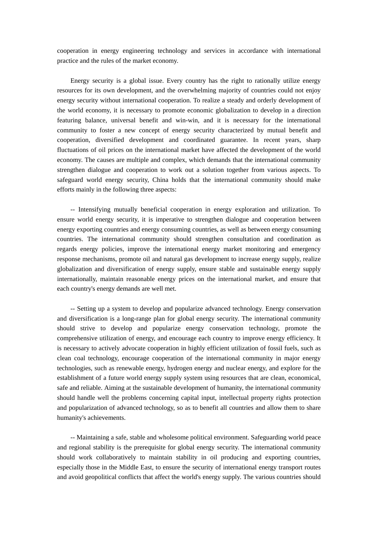cooperation in energy engineering technology and services in accordance with international practice and the rules of the market economy.

 Energy security is a global issue. Every country has the right to rationally utilize energy resources for its own development, and the overwhelming majority of countries could not enjoy energy security without international cooperation. To realize a steady and orderly development of the world economy, it is necessary to promote economic globalization to develop in a direction featuring balance, universal benefit and win-win, and it is necessary for the international community to foster a new concept of energy security characterized by mutual benefit and cooperation, diversified development and coordinated guarantee. In recent years, sharp fluctuations of oil prices on the international market have affected the development of the world economy. The causes are multiple and complex, which demands that the international community strengthen dialogue and cooperation to work out a solution together from various aspects. To safeguard world energy security, China holds that the international community should make efforts mainly in the following three aspects:

 -- Intensifying mutually beneficial cooperation in energy exploration and utilization. To ensure world energy security, it is imperative to strengthen dialogue and cooperation between energy exporting countries and energy consuming countries, as well as between energy consuming countries. The international community should strengthen consultation and coordination as regards energy policies, improve the international energy market monitoring and emergency response mechanisms, promote oil and natural gas development to increase energy supply, realize globalization and diversification of energy supply, ensure stable and sustainable energy supply internationally, maintain reasonable energy prices on the international market, and ensure that each country's energy demands are well met.

 -- Setting up a system to develop and popularize advanced technology. Energy conservation and diversification is a long-range plan for global energy security. The international community should strive to develop and popularize energy conservation technology, promote the comprehensive utilization of energy, and encourage each country to improve energy efficiency. It is necessary to actively advocate cooperation in highly efficient utilization of fossil fuels, such as clean coal technology, encourage cooperation of the international community in major energy technologies, such as renewable energy, hydrogen energy and nuclear energy, and explore for the establishment of a future world energy supply system using resources that are clean, economical, safe and reliable. Aiming at the sustainable development of humanity, the international community should handle well the problems concerning capital input, intellectual property rights protection and popularization of advanced technology, so as to benefit all countries and allow them to share humanity's achievements.

 -- Maintaining a safe, stable and wholesome political environment. Safeguarding world peace and regional stability is the prerequisite for global energy security. The international community should work collaboratively to maintain stability in oil producing and exporting countries, especially those in the Middle East, to ensure the security of international energy transport routes and avoid geopolitical conflicts that affect the world's energy supply. The various countries should